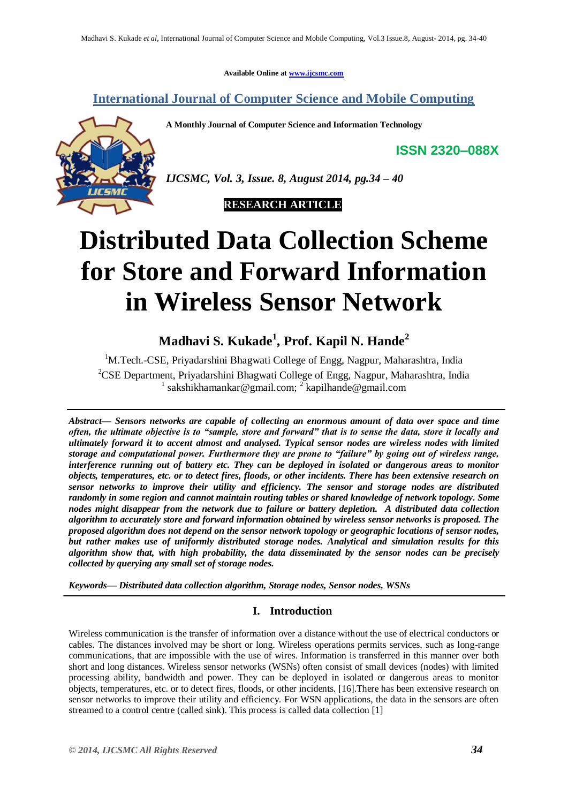**Available Online at [www.ijcsmc.com](http://www.ijcsmc.com/)**

**International Journal of Computer Science and Mobile Computing**

**A Monthly Journal of Computer Science and Information Technology**

**ISSN 2320–088X**



*IJCSMC, Vol. 3, Issue. 8, August 2014, pg.34 – 40*

 **RESEARCH ARTICLE**

# **Distributed Data Collection Scheme for Store and Forward Information in Wireless Sensor Network**

**Madhavi S. Kukade<sup>1</sup> , Prof. Kapil N. Hande<sup>2</sup>**

 $1$ M.Tech.-CSE, Priyadarshini Bhagwati College of Engg, Nagpur, Maharashtra, India <sup>2</sup>CSE Department, Priyadarshini Bhagwati College of Engg, Nagpur, Maharashtra, India <sup>1</sup> sakshikhamankar@gmail.com; <sup>2</sup> kapilhande@gmail.com

*Abstract— Sensors networks are capable of collecting an enormous amount of data over space and time often, the ultimate objective is to "sample, store and forward" that is to sense the data, store it locally and ultimately forward it to accent almost and analysed. Typical sensor nodes are wireless nodes with limited storage and computational power. Furthermore they are prone to "failure" by going out of wireless range, interference running out of battery etc. They can be deployed in isolated or dangerous areas to monitor objects, temperatures, etc. or to detect fires, floods, or other incidents. There has been extensive research on sensor networks to improve their utility and efficiency. The sensor and storage nodes are distributed randomly in some region and cannot maintain routing tables or shared knowledge of network topology. Some nodes might disappear from the network due to failure or battery depletion. A distributed data collection algorithm to accurately store and forward information obtained by wireless sensor networks is proposed. The proposed algorithm does not depend on the sensor network topology or geographic locations of sensor nodes, but rather makes use of uniformly distributed storage nodes. Analytical and simulation results for this algorithm show that, with high probability, the data disseminated by the sensor nodes can be precisely collected by querying any small set of storage nodes.*

*Keywords— Distributed data collection algorithm, Storage nodes, Sensor nodes, WSNs*

## **I. Introduction**

Wireless communication is the transfer of information over a distance without the use of electrical conductors or cables. The distances involved may be short or long. Wireless operations permits services, such as long-range communications, that are impossible with the use of wires. Information is transferred in this manner over both short and long distances. Wireless sensor networks (WSNs) often consist of small devices (nodes) with limited processing ability, bandwidth and power. They can be deployed in isolated or dangerous areas to monitor objects, temperatures, etc. or to detect fires, floods, or other incidents. [16].There has been extensive research on sensor networks to improve their utility and efficiency. For WSN applications, the data in the sensors are often streamed to a control centre (called sink). This process is called data collection [1]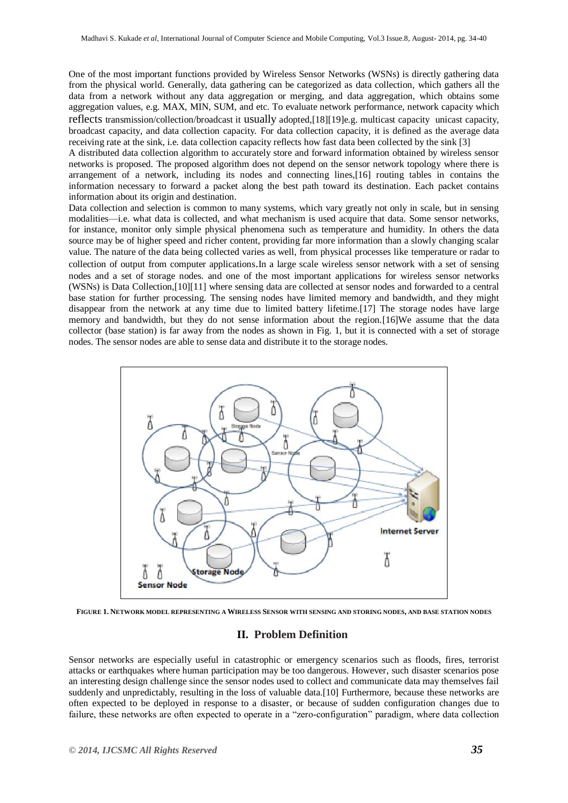One of the most important functions provided by Wireless Sensor Networks (WSNs) is directly gathering data from the physical world. Generally, data gathering can be categorized as data collection, which gathers all the data from a network without any data aggregation or merging, and data aggregation*,* which obtains some aggregation values, e.g*.* MAX, MIN, SUM, and etc. To evaluate network performance, network capacity which reflects transmission/collection/broadcast it usually adopted,[18][19]e.g. multicast capacity unicast capacity, broadcast capacity*,* and data collection capacity*.* For data collection capacity, it is defined as the average data receiving rate at the sink, i.e*.* data collection capacity reflects how fast data been collected by the sink [3]

A distributed data collection algorithm to accurately store and forward information obtained by wireless sensor networks is proposed. The proposed algorithm does not depend on the sensor network topology where there is arrangement of a network, including its nodes and connecting lines,[16] routing tables in contains the information necessary to forward a packet along the best path toward its destination. Each packet contains information about its origin and destination.

Data collection and selection is common to many systems, which vary greatly not only in scale, but in sensing modalities—i.e. what data is collected, and what mechanism is used acquire that data. Some sensor networks, for instance, monitor only simple physical phenomena such as temperature and humidity. In others the data source may be of higher speed and richer content, providing far more information than a slowly changing scalar value. The nature of the data being collected varies as well, from physical processes like temperature or radar to collection of output from computer applications.In a large scale wireless sensor network with a set of sensing nodes and a set of storage nodes. and one of the most important applications for wireless sensor networks (WSNs) is Data Collection,[10][11] where sensing data are collected at sensor nodes and forwarded to a central base station for further processing. The sensing nodes have limited memory and bandwidth, and they might disappear from the network at any time due to limited battery lifetime.[17] The storage nodes have large memory and bandwidth, but they do not sense information about the region.[16]We assume that the data collector (base station) is far away from the nodes as shown in Fig. 1, but it is connected with a set of storage nodes. The sensor nodes are able to sense data and distribute it to the storage nodes.



**FIGURE 1. NETWORK MODEL REPRESENTING A WIRELESS SENSOR WITH SENSING AND STORING NODES, AND BASE STATION NODES**

## **II. Problem Definition**

Sensor networks are especially useful in catastrophic or emergency scenarios such as floods, fires, terrorist attacks or earthquakes where human participation may be too dangerous. However, such disaster scenarios pose an interesting design challenge since the sensor nodes used to collect and communicate data may themselves fail suddenly and unpredictably, resulting in the loss of valuable data.[10] Furthermore, because these networks are often expected to be deployed in response to a disaster, or because of sudden configuration changes due to failure, these networks are often expected to operate in a "zero-configuration" paradigm, where data collection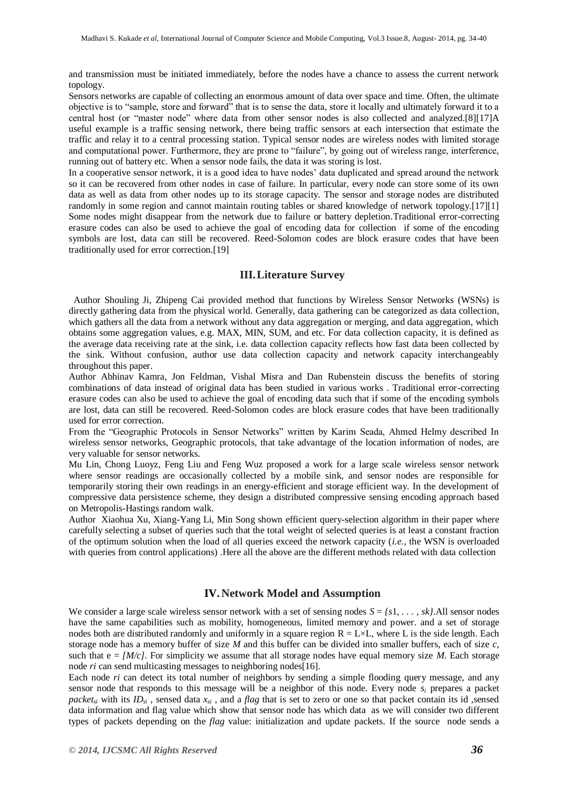and transmission must be initiated immediately, before the nodes have a chance to assess the current network topology.

Sensors networks are capable of collecting an enormous amount of data over space and time. Often, the ultimate objective is to "sample, store and forward" that is to sense the data, store it locally and ultimately forward it to a central host (or "master node" where data from other sensor nodes is also collected and analyzed.[8][17]A useful example is a traffic sensing network, there being traffic sensors at each intersection that estimate the traffic and relay it to a central processing station. Typical sensor nodes are wireless nodes with limited storage and computational power. Furthermore, they are prone to "failure", by going out of wireless range, interference, running out of battery etc. When a sensor node fails, the data it was storing is lost.

In a cooperative sensor network, it is a good idea to have nodes' data duplicated and spread around the network so it can be recovered from other nodes in case of failure. In particular, every node can store some of its own data as well as data from other nodes up to its storage capacity. The sensor and storage nodes are distributed randomly in some region and cannot maintain routing tables or shared knowledge of network topology.[17][1] Some nodes might disappear from the network due to failure or battery depletion.Traditional error-correcting erasure codes can also be used to achieve the goal of encoding data for collection if some of the encoding symbols are lost, data can still be recovered. Reed-Solomon codes are block erasure codes that have been traditionally used for error correction.[19]

#### **III.Literature Survey**

 Author Shouling Ji, Zhipeng Cai provided method that functions by Wireless Sensor Networks (WSNs) is directly gathering data from the physical world. Generally, data gathering can be categorized as data collection, which gathers all the data from a network without any data aggregation or merging, and data aggregation, which obtains some aggregation values, e.g. MAX, MIN, SUM, and etc. For data collection capacity, it is defined as the average data receiving rate at the sink, i.e. data collection capacity reflects how fast data been collected by the sink. Without confusion, author use data collection capacity and network capacity interchangeably throughout this paper.

Author Abhinav Kamra, Jon Feldman, Vishal Misra and Dan Rubenstein discuss the benefits of storing combinations of data instead of original data has been studied in various works . Traditional error-correcting erasure codes can also be used to achieve the goal of encoding data such that if some of the encoding symbols are lost, data can still be recovered. Reed-Solomon codes are block erasure codes that have been traditionally used for error correction.

From the "Geographic Protocols in Sensor Networks" written by Karim Seada, Ahmed Helmy described In wireless sensor networks, Geographic protocols, that take advantage of the location information of nodes, are very valuable for sensor networks.

Mu Lin, Chong Luoyz, Feng Liu and Feng Wuz proposed a work for a large scale wireless sensor network where sensor readings are occasionally collected by a mobile sink, and sensor nodes are responsible for temporarily storing their own readings in an energy-efficient and storage efficient way. In the development of compressive data persistence scheme, they design a distributed compressive sensing encoding approach based on Metropolis-Hastings random walk.

Author Xiaohua Xu, Xiang-Yang Li, Min Song shown efficient query-selection algorithm in their paper where carefully selecting a subset of queries such that the total weight of selected queries is at least a constant fraction of the optimum solution when the load of all queries exceed the network capacity (*i.e.*, the WSN is overloaded with queries from control applications). Here all the above are the different methods related with data collection

## **IV. Network Model and Assumption**

We consider a large scale wireless sensor network with a set of sensing nodes  $S = \{s_1, \ldots, sk\}$ .All sensor nodes have the same capabilities such as mobility, homogeneous, limited memory and power. and a set of storage nodes both are distributed randomly and uniformly in a square region  $R = L \times L$ , where L is the side length. Each storage node has a memory buffer of size *M* and this buffer can be divided into smaller buffers, each of size *c*, such that  $e = \frac{M}{c}$ . For simplicity we assume that all storage nodes have equal memory size *M*. Each storage node *ri* can send multicasting messages to neighboring nodes [16].

Each node *ri* can detect its total number of neighbors by sending a simple flooding query message, and any sensor node that responds to this message will be a neighbor of this node. Every node *s<sup>i</sup>* prepares a packet *packet<sub>si</sub>* with its  $ID_{si}$ , sensed data  $x_{si}$ , and a *flag* that is set to zero or one so that packet contain its id, sensed data information and flag value which show that sensor node has which data as we will consider two different types of packets depending on the *flag* value: initialization and update packets. If the source node sends a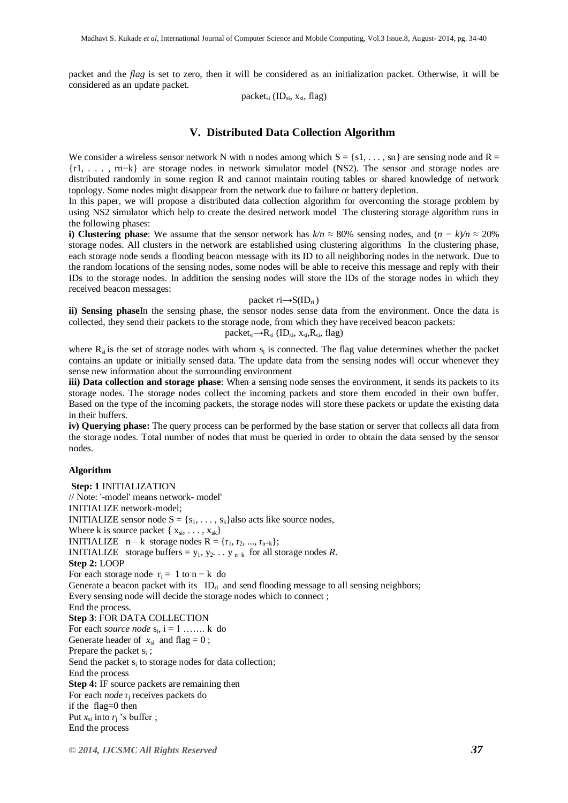packet and the *flag* is set to zero, then it will be considered as an initialization packet. Otherwise, it will be considered as an update packet.

packet<sub>si</sub> (ID<sub>si</sub>,  $x_{si}$ , flag)

## **V. Distributed Data Collection Algorithm**

We consider a wireless sensor network N with n nodes among which  $S = \{s1, \ldots, sn\}$  are sensing node and  $R =$ {r1, . . . , rn−k} are storage nodes in network simulator model (NS2). The sensor and storage nodes are distributed randomly in some region R and cannot maintain routing tables or shared knowledge of network topology. Some nodes might disappear from the network due to failure or battery depletion.

In this paper, we will propose a distributed data collection algorithm for overcoming the storage problem by using NS2 simulator which help to create the desired network model The clustering storage algorithm runs in the following phases:

**i) Clustering phase**: We assume that the sensor network has *k/n ≈* 80% sensing nodes, and (*n − k*)*/n ≈* 20% storage nodes. All clusters in the network are established using clustering algorithms In the clustering phase, each storage node sends a flooding beacon message with its ID to all neighboring nodes in the network. Due to the random locations of the sensing nodes, some nodes will be able to receive this message and reply with their IDs to the storage nodes. In addition the sensing nodes will store the IDs of the storage nodes in which they received beacon messages:

#### packet *r***i**→S(ID<sub>ri</sub>)

**ii) Sensing phase**In the sensing phase, the sensor nodes sense data from the environment. Once the data is collected, they send their packets to the storage node, from which they have received beacon packets:

$$
packet_{si} \rightarrow R_{si} (ID_{si}, x_{si}, R_{si}, flag)
$$

where  $R_{si}$  is the set of storage nodes with whom  $s_i$  is connected. The flag value determines whether the packet contains an update or initially sensed data. The update data from the sensing nodes will occur whenever they sense new information about the surrounding environment

**iii) Data collection and storage phase**: When a sensing node senses the environment, it sends its packets to its storage nodes. The storage nodes collect the incoming packets and store them encoded in their own buffer. Based on the type of the incoming packets, the storage nodes will store these packets or update the existing data in their buffers.

**iv) Querying phase:** The query process can be performed by the base station or server that collects all data from the storage nodes. Total number of nodes that must be queried in order to obtain the data sensed by the sensor nodes.

#### **Algorithm**

**Step: 1** INITIALIZATION // Note: '-model' means network- model' INITIALIZE network-model; INITIALIZE sensor node  $S = \{s_1, \ldots, s_k\}$ also acts like source nodes, Where k is source packet { $x_{si}, \ldots, x_{sk}$ } INITIALIZE  $n - k$  storage nodes R = { $r_1, r_2, ..., r_{n-k}$ }; INITIALIZE storage buffers =  $y_1, y_2, \ldots, y_{n-k}$  for all storage nodes *R*. **Step 2:** LOOP For each storage node  $r_i = 1$  to  $n - k$  do Generate a beacon packet with its  $ID_{ri}$  and send flooding message to all sensing neighbors; Every sensing node will decide the storage nodes which to connect ; End the process. **Step 3**: FOR DATA COLLECTION For each *source node*  $s_i$ ,  $i = 1$  ....... k do Generate header of  $x_{si}$  and flag = 0; Prepare the packet  $s_i$ ; Send the packet  $s_i$  to storage nodes for data collection; End the process **Step 4:** IF source packets are remaining then For each *node* **r**<sub>i</sub> receives packets do if the flag=0 then Put  $x_{si}$  into  $r_i$  's buffer ; End the process

*© 2014, IJCSMC All Rights Reserved 37*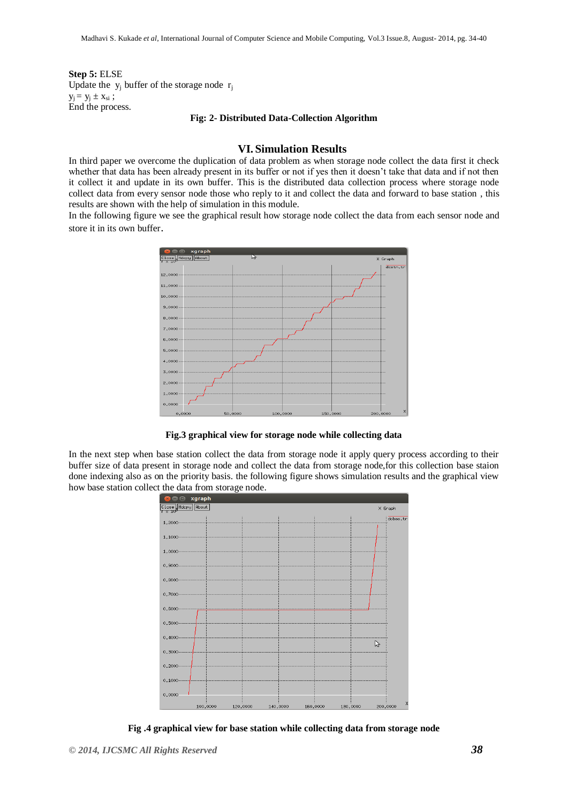**Step 5:** ELSE Update the  $y_i$  buffer of the storage node  $r_i$  $y_j = y_j \pm x_{si}$ ; End the process.

#### **Fig: 2- Distributed Data-Collection Algorithm**

#### **VI. Simulation Results**

In third paper we overcome the duplication of data problem as when storage node collect the data first it check whether that data has been already present in its buffer or not if yes then it doesn't take that data and if not then it collect it and update in its own buffer. This is the distributed data collection process where storage node collect data from every sensor node those who reply to it and collect the data and forward to base station , this results are shown with the help of simulation in this module.

In the following figure we see the graphical result how storage node collect the data from each sensor node and store it in its own buffer.



**Fig.3 graphical view for storage node while collecting data**

In the next step when base station collect the data from storage node it apply query process according to their buffer size of data present in storage node and collect the data from storage node,for this collection base staion done indexing also as on the priority basis. the following figure shows simulation results and the graphical view how base station collect the data from storage node.



**Fig .4 graphical view for base station while collecting data from storage node**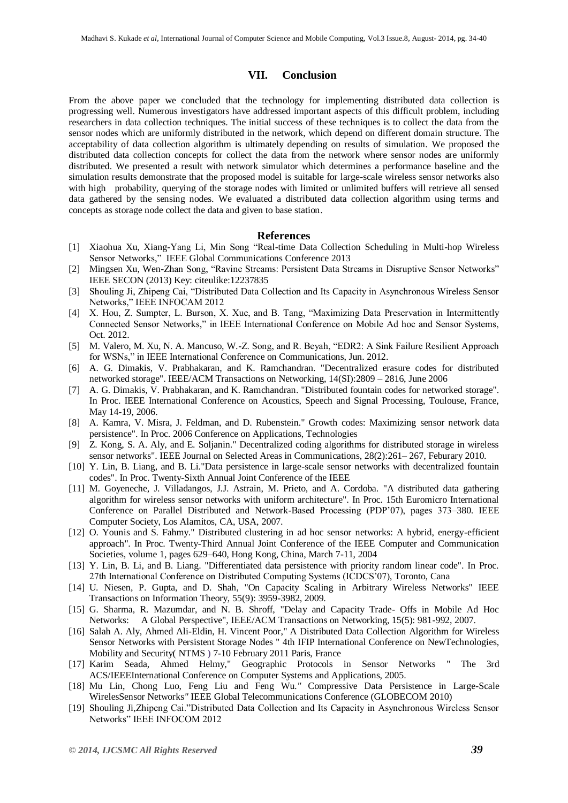## **VII. Conclusion**

From the above paper we concluded that the technology for implementing distributed data collection is progressing well. Numerous investigators have addressed important aspects of this difficult problem, including researchers in data collection techniques. The initial success of these techniques is to collect the data from the sensor nodes which are uniformly distributed in the network, which depend on different domain structure. The acceptability of data collection algorithm is ultimately depending on results of simulation. We proposed the distributed data collection concepts for collect the data from the network where sensor nodes are uniformly distributed. We presented a result with network simulator which determines a performance baseline and the simulation results demonstrate that the proposed model is suitable for large-scale wireless sensor networks also with high probability, querying of the storage nodes with limited or unlimited buffers will retrieve all sensed data gathered by the sensing nodes. We evaluated a distributed data collection algorithm using terms and concepts as storage node collect the data and given to base station.

#### **References**

- [1] Xiaohua Xu, Xiang-Yang Li, Min Song "Real-time Data Collection Scheduling in Multi-hop Wireless Sensor Networks," IEEE Global Communications Conference 2013
- [2] Mingsen Xu, Wen-Zhan Song, "Ravine Streams: Persistent Data Streams in Disruptive Sensor Networks" IEEE SECON (2013) Key: citeulike:12237835
- [3] Shouling Ji, Zhipeng Cai, "Distributed Data Collection and Its Capacity in Asynchronous Wireless Sensor Networks," IEEE INFOCAM 2012
- [4] X. Hou, Z. Sumpter, L. Burson, X. Xue, and B. Tang, "Maximizing Data Preservation in Intermittently Connected Sensor Networks," in IEEE International Conference on Mobile Ad hoc and Sensor Systems, Oct. 2012.
- [5] M. Valero, M. Xu, N. A. Mancuso, W.-Z. Song, and R. Beyah, "EDR2: A Sink Failure Resilient Approach for WSNs," in IEEE International Conference on Communications, Jun. 2012.
- [6] A. G. Dimakis, V. Prabhakaran, and K. Ramchandran. "Decentralized erasure codes for distributed networked storage". IEEE/ACM Transactions on Networking, 14(SI):2809 – 2816, June 2006
- [7] A. G. Dimakis, V. Prabhakaran, and K. Ramchandran. "Distributed fountain codes for networked storage". In Proc. IEEE International Conference on Acoustics, Speech and Signal Processing, Toulouse, France, May 14-19, 2006.
- [8] A. Kamra, V. Misra, J. Feldman, and D. Rubenstein." Growth codes: Maximizing sensor network data persistence". In Proc. 2006 Conference on Applications, Technologies
- [9] Z. Kong, S. A. Aly, and E. Soljanin." Decentralized coding algorithms for distributed storage in wireless sensor networks". IEEE Journal on Selected Areas in Communications, 28(2):261– 267, Feburary 2010.
- [10] Y. Lin, B. Liang, and B. Li."Data persistence in large-scale sensor networks with decentralized fountain codes". In Proc. Twenty-Sixth Annual Joint Conference of the IEEE
- [11] M. Goyeneche, J. Villadangos, J.J. Astrain, M. Prieto, and A. Cordoba. "A distributed data gathering algorithm for wireless sensor networks with uniform architecture". In Proc. 15th Euromicro International Conference on Parallel Distributed and Network-Based Processing (PDP'07), pages 373–380. IEEE Computer Society, Los Alamitos, CA, USA, 2007.
- [12] O. Younis and S. Fahmy." Distributed clustering in ad hoc sensor networks: A hybrid, energy-efficient approach". In Proc. Twenty-Third Annual Joint Conference of the IEEE Computer and Communication Societies, volume 1, pages 629–640, Hong Kong, China, March 7-11, 2004
- [13] Y. Lin, B. Li, and B. Liang. "Differentiated data persistence with priority random linear code". In Proc. 27th International Conference on Distributed Computing Systems (ICDCS'07), Toronto, Cana
- [14] U. Niesen, P. Gupta, and D. Shah, "On Capacity Scaling in Arbitrary Wireless Networks" IEEE Transactions on Information Theory, 55(9): 3959-3982, 2009.
- [15] G. Sharma, R. Mazumdar, and N. B. Shroff, "Delay and Capacity Trade- Offs in Mobile Ad Hoc Networks: A Global Perspective", IEEE/ACM Transactions on Networking, 15(5): 981-992, 2007.
- [16] Salah A. Aly, Ahmed Ali-Eldin, H. Vincent Poor," A Distributed Data Collection Algorithm for Wireless Sensor Networks with Persistent Storage Nodes " 4th IFIP International Conference on NewTechnologies, Mobility and Security( NTMS **)** 7-10 February 2011 Paris, France
- [17] Karim Seada, Ahmed Helmy," Geographic Protocols in Sensor Networks " The 3rd ACS/IEEEInternational Conference on Computer Systems and Applications, 2005.
- [18] Mu Lin, Chong Luo, Feng Liu and Feng Wu*."* Compressive Data Persistence in Large-Scale WirelesSensor Networks*"* IEEE Global Telecommunications Conference (GLOBECOM 2010)
- [19] Shouling Ji,Zhipeng Cai."Distributed Data Collection and Its Capacity in Asynchronous Wireless Sensor Networks" IEEE INFOCOM 2012